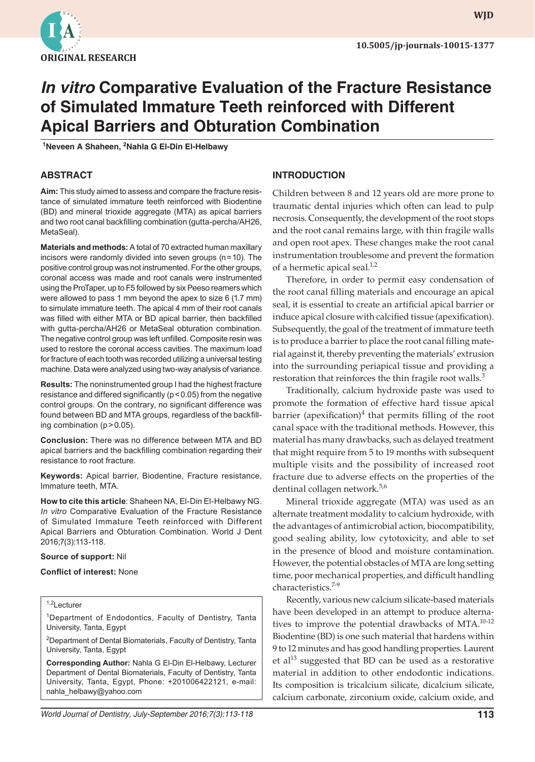

**wjd WJD**

# **In vitro Comparative Evaluation of the Fracture Resistance of Simulated Immature Teeth reinforced with Different Apical Barriers and Obturation Combination**

<sup>1</sup>Neveen A Shaheen, <sup>2</sup>Nahla G El-Din El-Helbawy

# **ABSTRACT**

**Aim:** This study aimed to assess and compare the fracture resistance of simulated immature teeth reinforced with Biodentine (BD) and mineral trioxide aggregate (MTA) as apical barriers and two root canal backfilling combination (gutta-percha/AH26, MetaSeal).

**Materials and methods:** A total of 70 extracted human maxillary incisors were randomly divided into seven groups (n=10). The positive control group was not instrumented. For the other groups, coronal access was made and root canals were instrumented using the ProTaper, up to F5 followed by six Peeso reamers which were allowed to pass 1 mm beyond the apex to size 6 (1.7 mm) to simulate immature teeth. The apical 4 mm of their root canals was filled with either MTA or BD apical barrier, then backfilled with gutta-percha/AH26 or MetaSeal obturation combination. The negative control group was left unfilled. Composite resin was used to restore the coronal access cavities. The maximum load for fracture of each tooth was recorded utilizing a universal testing machine. Data were analyzed using two-way analysis of variance.

**Results:** The noninstrumented group I had the highest fracture resistance and differed significantly (p<0.05) from the negative control groups. On the contrary, no significant difference was found between BD and MTA groups, regardless of the backfilling combination (p>0.05).

**Conclusion:** There was no difference between MTA and BD apical barriers and the backfilling combination regarding their resistance to root fracture.

**Keywords:** Apical barrier, Biodentine, Fracture resistance, Immature teeth, MTA.

**How to cite this article**: Shaheen NA, El-Din El-Helbawy NG. *In vitro* Comparative Evaluation of the Fracture Resistance of Simulated Immature Teeth reinforced with Different Apical Barriers and Obturation Combination. World J Dent 2016;7(3):113-118.

#### **Source of support:** Nil

**Conflict of interest:** None

#### 1,2Lecturer

<sup>1</sup>Department of Endodontics, Faculty of Dentistry, Tanta University, Tanta, Egypt

2 Department of Dental Biomaterials, Faculty of Dentistry, Tanta University, Tanta, Egypt

**Corresponding Author:** Nahla G El-Din El-Helbawy, Lecturer Department of Dental Biomaterials, Faculty of Dentistry, Tanta University, Tanta, Egypt, Phone: +201006422121, e-mail: nahla\_helbawy@yahoo.com

#### **INTRODUCTION**

Children between 8 and 12 years old are more prone to traumatic dental injuries which often can lead to pulp necrosis. Consequently, the development of the root stops and the root canal remains large, with thin fragile walls and open root apex. These changes make the root canal instrumentation troublesome and prevent the formation of a hermetic apical seal. $1/2$ 

Therefore, in order to permit easy condensation of the root canal filling materials and encourage an apical seal, it is essential to create an artificial apical barrier or induce apical closure with calcified tissue (apexification). Subsequently, the goal of the treatment of immature teeth is to produce a barrier to place the root canal filling material against it, thereby preventing the materials' extrusion into the surrounding periapical tissue and providing a restoration that reinforces the thin fragile root walls. $3$ 

Traditionally, calcium hydroxide paste was used to promote the formation of effective hard tissue apical barrier (apexification) $4$  that permits filling of the root canal space with the traditional methods. However, this material has many drawbacks, such as delayed treatment that might require from 5 to 19 months with subsequent multiple visits and the possibility of increased root fracture due to adverse effects on the properties of the dentinal collagen network.<sup>5,6</sup>

Mineral trioxide aggregate (MTA) was used as an alternate treatment modality to calcium hydroxide, with the advantages of antimicrobial action, biocompatibility, good sealing ability, low cytotoxicity, and able to set in the presence of blood and moisture contamination. However, the potential obstacles of MTA are long setting time, poor mechanical properties, and difficult handling characteristics.<sup>7-9</sup>

Recently, various new calcium silicate-based materials have been developed in an attempt to produce alternatives to improve the potential drawbacks of MTA.10-12 Biodentine (BD) is one such material that hardens within 9 to 12 minutes and has good handling properties. Laurent et al $^{13}$  suggested that BD can be used as a restorative material in addition to other endodontic indications. Its composition is tricalcium silicate, dicalcium silicate, calcium carbonate, zirconium oxide, calcium oxide, and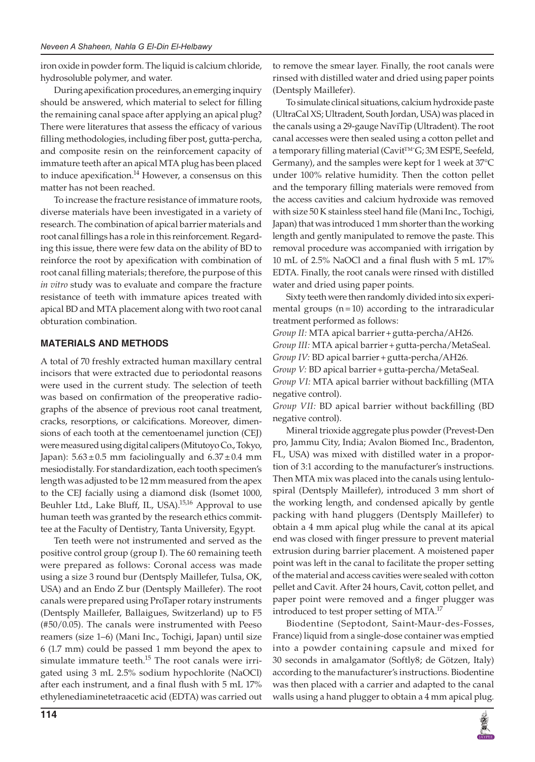iron oxide in powder form. The liquid is calcium chloride, hydrosoluble polymer, and water.

During apexification procedures, an emerging inquiry should be answered, which material to select for filling the remaining canal space after applying an apical plug? There were literatures that assess the efficacy of various filling methodologies, including fiber post, gutta-percha, and composite resin on the reinforcement capacity of immature teeth after an apical MTA plug has been placed to induce apexification.<sup>14</sup> However, a consensus on this matter has not been reached.

To increase the fracture resistance of immature roots, diverse materials have been investigated in a variety of research. The combination of apical barrier materials and root canal fillings has a role in this reinforcement. Regarding this issue, there were few data on the ability of BD to reinforce the root by apexification with combination of root canal filling materials; therefore, the purpose of this *in vitro* study was to evaluate and compare the fracture resistance of teeth with immature apices treated with apical BD and MTA placement along with two root canal obturation combination.

# **MATERIALS AND METHODS**

A total of 70 freshly extracted human maxillary central incisors that were extracted due to periodontal reasons were used in the current study. The selection of teeth was based on confirmation of the preoperative radiographs of the absence of previous root canal treatment, cracks, resorptions, or calcifications. Moreover, dimensions of each tooth at the cementoenamel junction (CEJ) were measured using digital calipers (Mitutoyo Co., Tokyo, Japan):  $5.63 \pm 0.5$  mm faciolingually and  $6.37 \pm 0.4$  mm mesiodistally. For standardization, each tooth specimen's length was adjusted to be 12 mm measured from the apex to the CEJ facially using a diamond disk (Isomet 1000, Beuhler Ltd., Lake Bluff, IL, USA).<sup>15,16</sup> Approval to use human teeth was granted by the research ethics committee at the Faculty of Dentistry, Tanta University, Egypt.

Ten teeth were not instrumented and served as the positive control group (group I). The 60 remaining teeth were prepared as follows: Coronal access was made using a size 3 round bur (Dentsply Maillefer, Tulsa, OK, USA) and an Endo Z bur (Dentsply Maillefer). The root canals were prepared using ProTaper rotary instruments (Dentsply Maillefer, Ballaigues, Switzerland) up to F5 (#50/0.05). The canals were instrumented with Peeso reamers (size 1–6) (Mani Inc., Tochigi, Japan) until size 6 (1.7 mm) could be passed 1 mm beyond the apex to simulate immature teeth. $15$  The root canals were irrigated using 3 mL 2.5% sodium hypochlorite (NaOCl) after each instrument, and a final flush with 5 mL 17% ethylenediaminetetraacetic acid (EDTA) was carried out

to remove the smear layer. Finally, the root canals were rinsed with distilled water and dried using paper points (Dentsply Maillefer).

To simulate clinical situations, calcium hydroxide paste (UltraCal XS; Ultradent, South Jordan, USA) was placed in the canals using a 29-gauge NaviTip (Ultradent). The root canal accesses were then sealed using a cotton pellet and a temporary filling material (Cavit<sup>™</sup>G; 3M ESPE, Seefeld, Germany), and the samples were kept for 1 week at 37°C under 100% relative humidity. Then the cotton pellet and the temporary filling materials were removed from the access cavities and calcium hydroxide was removed with size 50 K stainless steel hand file (Mani Inc., Tochigi, Japan) that was introduced 1 mm shorter than the working length and gently manipulated to remove the paste. This removal procedure was accompanied with irrigation by 10 mL of 2.5% NaOCl and a final flush with 5 mL 17% EDTA. Finally, the root canals were rinsed with distilled water and dried using paper points.

Sixty teeth were then randomly divided into six experimental groups (n=10) according to the intraradicular treatment performed as follows:

*Group II:* MTA apical barrier+gutta-percha/AH26. *Group III:* MTA apical barrier+gutta-percha/MetaSeal. *Group IV:* BD apical barrier+gutta-percha/AH26. *Group V:* BD apical barrier+gutta-percha/MetaSeal. *Group VI:* MTA apical barrier without backfilling (MTA negative control).

*Group VII:* BD apical barrier without backfilling (BD negative control).

Mineral trioxide aggregate plus powder (Prevest-Den pro, Jammu City, India; Avalon Biomed Inc., Bradenton, FL, USA) was mixed with distilled water in a proportion of 3:1 according to the manufacturer's instructions. Then MTA mix was placed into the canals using lentulospiral (Dentsply Maillefer), introduced 3 mm short of the working length, and condensed apically by gentle packing with hand pluggers (Dentsply Maillefer) to obtain a 4 mm apical plug while the canal at its apical end was closed with finger pressure to prevent material extrusion during barrier placement. A moistened paper point was left in the canal to facilitate the proper setting of the material and access cavities were sealed with cotton pellet and Cavit. After 24 hours, Cavit, cotton pellet, and paper point were removed and a finger plugger was introduced to test proper setting of MTA.<sup>17</sup>

Biodentine (Septodont, Saint-Maur-des-Fosses, France) liquid from a single-dose container was emptied into a powder containing capsule and mixed for 30 seconds in amalgamator (Softly8; de Götzen, Italy) according to the manufacturer's instructions. Biodentine was then placed with a carrier and adapted to the canal walls using a hand plugger to obtain a 4 mm apical plug.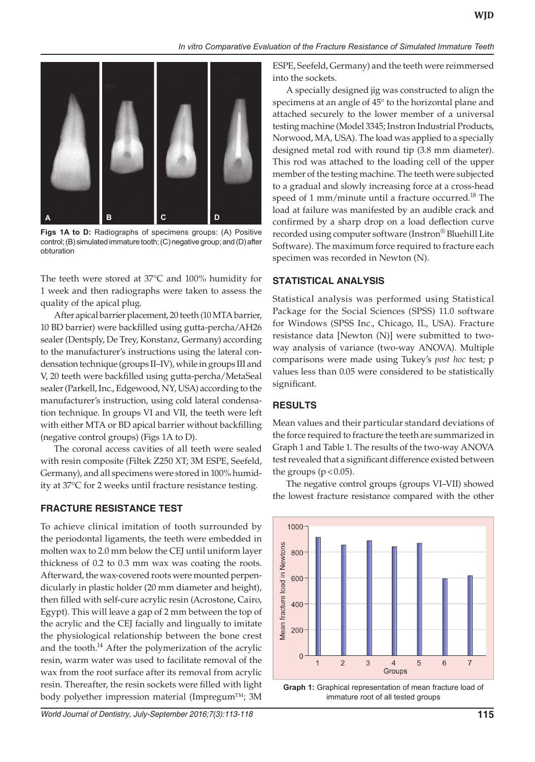

**Figs 1A to D:** Radiographs of specimens groups: (A) Positive control; (B) simulated immature tooth; (C) negative group; and (D) after obturation

The teeth were stored at 37°C and 100% humidity for 1 week and then radiographs were taken to assess the quality of the apical plug.

After apical barrier placement, 20 teeth (10 MTA barrier, 10 BD barrier) were backfilled using gutta-percha/AH26 sealer (Dentsply, De Trey, Konstanz, Germany) according to the manufacturer's instructions using the lateral condensation technique (groups II–IV), while in groups III and V, 20 teeth were backfilled using gutta-percha/MetaSeal sealer (Parkell, Inc., Edgewood, NY, USA) according to the manufacturer's instruction, using cold lateral condensation technique. In groups VI and VII, the teeth were left with either MTA or BD apical barrier without backfilling (negative control groups) (Figs 1A to D).

The coronal access cavities of all teeth were sealed with resin composite (Filtek Z250 XT; 3M ESPE, Seefeld, Germany), and all specimens were stored in 100% humidity at 37°C for 2 weeks until fracture resistance testing.

# **FRACTURE RESISTANCE TEST**

To achieve clinical imitation of tooth surrounded by the periodontal ligaments, the teeth were embedded in molten wax to 2.0 mm below the CEJ until uniform layer thickness of 0.2 to 0.3 mm wax was coating the roots. Afterward, the wax-covered roots were mounted perpendicularly in plastic holder (20 mm diameter and height), then filled with self-cure acrylic resin (Acrostone, Cairo, Egypt). This will leave a gap of 2 mm between the top of the acrylic and the CEJ facially and lingually to imitate the physiological relationship between the bone crest and the tooth. $14$  After the polymerization of the acrylic resin, warm water was used to facilitate removal of the wax from the root surface after its removal from acrylic resin. Thereafter, the resin sockets were filled with light body polyether impression material (Impregum™; 3M

ESPE, Seefeld, Germany) and the teeth were reimmersed into the sockets.

A specially designed jig was constructed to align the specimens at an angle of 45° to the horizontal plane and attached securely to the lower member of a universal testing machine (Model 3345; Instron Industrial Products, Norwood, MA, USA). The load was applied to a specially designed metal rod with round tip (3.8 mm diameter). This rod was attached to the loading cell of the upper member of the testing machine. The teeth were subjected to a gradual and slowly increasing force at a cross-head speed of 1 mm/minute until a fracture occurred.<sup>18</sup> The load at failure was manifested by an audible crack and confirmed by a sharp drop on a load deflection curve recorded using computer software (Instron® Bluehill Lite Software). The maximum force required to fracture each specimen was recorded in Newton (N).

# **STATISTICAL ANALYSIS**

Statistical analysis was performed using Statistical Package for the Social Sciences (SPSS) 11.0 software for Windows (SPSS Inc., Chicago, IL, USA). Fracture resistance data [Newton (N)] were submitted to twoway analysis of variance (two-way ANOVA). Multiple comparisons were made using Tukey's *post hoc* test; p values less than 0.05 were considered to be statistically significant.

# **RESULTS**

Mean values and their particular standard deviations of the force required to fracture the teeth are summarized in Graph 1 and Table 1. The results of the two-way ANOVA test revealed that a significant difference existed between the groups  $(p < 0.05)$ .

The negative control groups (groups VI–VII) showed the lowest fracture resistance compared with the other



**Graph 1:** Graphical representation of mean fracture load of immature root of all tested groups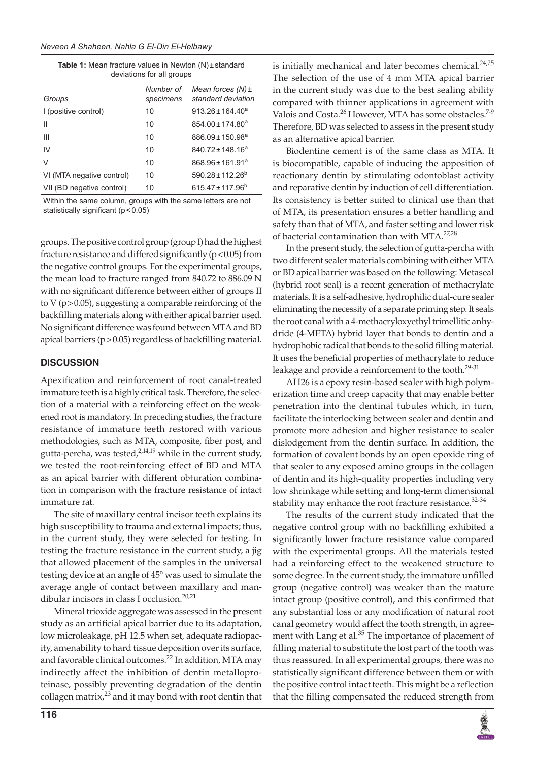| <b>Table 1:</b> Mean fracture values in Newton $(N)$ + standard |
|-----------------------------------------------------------------|
| deviations for all groups                                       |

| Groups                    | Number of<br>specimens | Mean forces $(N) \pm$<br>standard deviation |
|---------------------------|------------------------|---------------------------------------------|
| I (positive control)      | 10                     | $913.26 \pm 164.40^a$                       |
| Ш                         | 10                     | $854.00 \pm 174.80$ <sup>a</sup>            |
| Ш                         | 10                     | $886.09 \pm 150.98^a$                       |
| IV                        | 10                     | $840.72 \pm 148.16^a$                       |
| V                         | 10                     | $868.96 \pm 161.91^a$                       |
| VI (MTA negative control) | 10                     | $590.28 \pm 112.26^b$                       |
| VII (BD negative control) | 10                     | $615.47 \pm 117.96^b$                       |

Within the same column, groups with the same letters are not statistically significant (p < 0.05)

groups. The positive control group (group I) had the highest fracture resistance and differed significantly (p<0.05) from the negative control groups. For the experimental groups, the mean load to fracture ranged from 840.72 to 886.09 N with no significant difference between either of groups II to V (p>0.05), suggesting a comparable reinforcing of the backfilling materials along with either apical barrier used. No significant difference was found between MTA and BD apical barriers (p>0.05) regardless of backfilling material.

# **DISCUSSION**

Apexification and reinforcement of root canal-treated immature teeth is a highly critical task. Therefore, the selection of a material with a reinforcing effect on the weakened root is mandatory. In preceding studies, the fracture resistance of immature teeth restored with various methodologies, such as MTA, composite, fiber post, and gutta-percha, was tested, $2,14,19$  while in the current study, we tested the root-reinforcing effect of BD and MTA as an apical barrier with different obturation combination in comparison with the fracture resistance of intact immature rat.

The site of maxillary central incisor teeth explains its high susceptibility to trauma and external impacts; thus, in the current study, they were selected for testing. In testing the fracture resistance in the current study, a jig that allowed placement of the samples in the universal testing device at an angle of 45° was used to simulate the average angle of contact between maxillary and mandibular incisors in class I occlusion.20,21

Mineral trioxide aggregate was assessed in the present study as an artificial apical barrier due to its adaptation, low microleakage, pH 12.5 when set, adequate radiopacity, amenability to hard tissue deposition over its surface, and favorable clinical outcomes.<sup>22</sup> In addition, MTA may indirectly affect the inhibition of dentin metalloproteinase, possibly preventing degradation of the dentin collagen matrix, $2^3$  and it may bond with root dentin that

is initially mechanical and later becomes chemical.<sup>24,25</sup> The selection of the use of 4 mm MTA apical barrier in the current study was due to the best sealing ability compared with thinner applications in agreement with Valois and Costa.<sup>26</sup> However, MTA has some obstacles.<sup>7-9</sup> Therefore, BD was selected to assess in the present study as an alternative apical barrier.

Biodentine cement is of the same class as MTA. It is biocompatible, capable of inducing the apposition of reactionary dentin by stimulating odontoblast activity and reparative dentin by induction of cell differentiation. Its consistency is better suited to clinical use than that of MTA, its presentation ensures a better handling and safety than that of MTA, and faster setting and lower risk of bacterial contamination than with MTA.<sup>27,28</sup>

In the present study, the selection of gutta-percha with two different sealer materials combining with either MTA or BD apical barrier was based on the following: Metaseal (hybrid root seal) is a recent generation of methacrylate materials. It is a self-adhesive, hydrophilic dual-cure sealer eliminating the necessity of a separate priming step. It seals the root canal with a 4-methacryloxyethyl trimellitic anhydride (4-META) hybrid layer that bonds to dentin and a hydrophobic radical that bonds to the solid filling material. It uses the beneficial properties of methacrylate to reduce leakage and provide a reinforcement to the tooth.<sup>29-31</sup>

AH26 is a epoxy resin-based sealer with high polymerization time and creep capacity that may enable better penetration into the dentinal tubules which, in turn, facilitate the interlocking between sealer and dentin and promote more adhesion and higher resistance to sealer dislodgement from the dentin surface. In addition, the formation of covalent bonds by an open epoxide ring of that sealer to any exposed amino groups in the collagen of dentin and its high-quality properties including very low shrinkage while setting and long-term dimensional stability may enhance the root fracture resistance. $32-34$ 

The results of the current study indicated that the negative control group with no backfilling exhibited a significantly lower fracture resistance value compared with the experimental groups. All the materials tested had a reinforcing effect to the weakened structure to some degree. In the current study, the immature unfilled group (negative control) was weaker than the mature intact group (positive control), and this confirmed that any substantial loss or any modification of natural root canal geometry would affect the tooth strength, in agreement with Lang et al.<sup>35</sup> The importance of placement of filling material to substitute the lost part of the tooth was thus reassured. In all experimental groups, there was no statistically significant difference between them or with the positive control intact teeth. This might be a reflection that the filling compensated the reduced strength from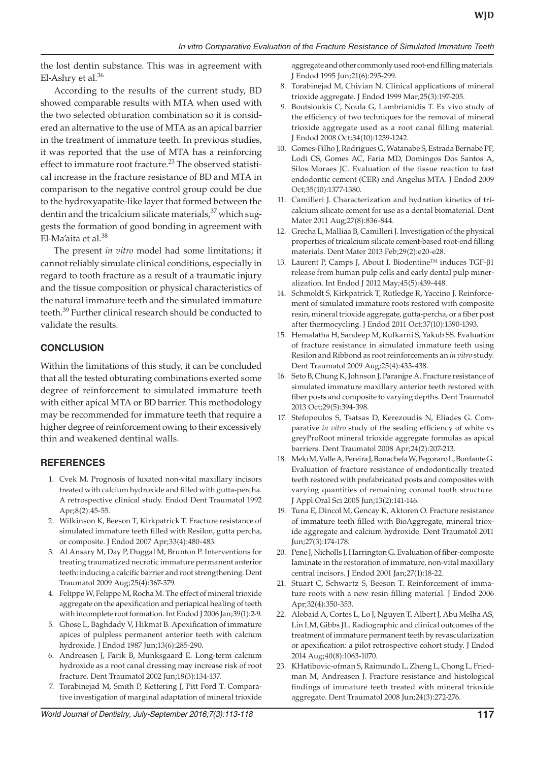the lost dentin substance. This was in agreement with El-Ashry et al.<sup>36</sup>

According to the results of the current study, BD showed comparable results with MTA when used with the two selected obturation combination so it is considered an alternative to the use of MTA as an apical barrier in the treatment of immature teeth. In previous studies, it was reported that the use of MTA has a reinforcing effect to immature root fracture.<sup>23</sup> The observed statistical increase in the fracture resistance of BD and MTA in comparison to the negative control group could be due to the hydroxyapatite-like layer that formed between the dentin and the tricalcium silicate materials,<sup>37</sup> which suggests the formation of good bonding in agreement with El-Ma'aita et al.<sup>38</sup>

The present *in vitro* model had some limitations; it cannot reliably simulate clinical conditions, especially in regard to tooth fracture as a result of a traumatic injury and the tissue composition or physical characteristics of the natural immature teeth and the simulated immature teeth.<sup>39</sup> Further clinical research should be conducted to validate the results.

#### **CONCLUSION**

Within the limitations of this study, it can be concluded that all the tested obturating combinations exerted some degree of reinforcement to simulated immature teeth with either apical MTA or BD barrier. This methodology may be recommended for immature teeth that require a higher degree of reinforcement owing to their excessively thin and weakened dentinal walls.

# **REFERENCES**

- 1. Cvek M. Prognosis of luxated non-vital maxillary incisors treated with calcium hydroxide and filled with gutta-percha. A retrospective clinical study. Endod Dent Traumatol 1992 Apr;8(2):45-55.
- 2. Wilkinson K, Beeson T, Kirkpatrick T. Fracture resistance of simulated immature teeth filled with Resilon, gutta percha, or composite. J Endod 2007 Apr;33(4):480-483.
- 3. Al Ansary M, Day P, Duggal M, Brunton P. Interventions for treating traumatized necrotic immature permanent anterior teeth: inducing a calcific barrier and root strengthening. Dent Traumatol 2009 Aug;25(4):367-379.
- 4. Felippe W, Felippe M, Rocha M. The effect of mineral trioxide aggregate on the apexification and periapical healing of teeth with incomplete root formation. Int Endod J 2006 Jan;39(1):2-9.
- 5. Ghose L, Baghdady V, Hikmat B. Apexification of immature apices of pulpless permanent anterior teeth with calcium hydroxide. J Endod 1987 Jun;13(6):285-290.
- 6. Andreasen J, Farik B, Munksgaard E. Long-term calcium hydroxide as a root canal dressing may increase risk of root fracture. Dent Traumatol 2002 Jun;18(3):134-137.
- 7. Torabinejad M, Smith P, Kettering J, Pitt Ford T. Comparative investigation of marginal adaptation of mineral trioxide

aggregate and other commonly used root-end filling materials. J Endod 1995 Jun;21(6):295-299.

- Torabinejad M, Chivian N. Clinical applications of mineral trioxide aggregate. J Endod 1999 Mar;25(3):197-205.
- 9. Boutsioukis C, Noula G, Lambrianidis T. Ex vivo study of the efficiency of two techniques for the removal of mineral trioxide aggregate used as a root canal filling material. J Endod 2008 Oct;34(10):1239-1242.
- 10. Gomes-Filho J, Rodrigues G, Watanabe S, Estrada Bernabé PF, Lodi CS, Gomes AC, Faria MD, Domingos Dos Santos A, Silos Moraes JC. Evaluation of the tissue reaction to fast endodontic cement (CER) and Angelus MTA. J Endod 2009 Oct;35(10):1377-1380.
- 11. Camilleri J. Characterization and hydration kinetics of tricalcium silicate cement for use as a dental biomaterial. Dent Mater 2011 Aug;27(8):836-844.
- 12. Grecha L, Malliaa B, Camilleri J. Investigation of the physical properties of tricalcium silicate cement-based root-end filling materials. Dent Mater 2013 Feb;29(2):e20-e28.
- 13. Laurent P, Camps J, About I. Biodentine™ induces TGF-β1 release from human pulp cells and early dental pulp mineralization. Int Endod J 2012 May;45(5):439-448.
- 14. Schmoldt S, Kirkpatrick T, Rutledge R, Yaccino J. Reinforcement of simulated immature roots restored with composite resin, mineral trioxide aggregate, gutta-percha, or a fiber post after thermocycling. J Endod 2011 Oct;37(10):1390-1393.
- 15. Hemalatha H, Sandeep M, Kulkarni S, Yakub SS. Evaluation of fracture resistance in simulated immature teeth using Resilon and Ribbond as root reinforcements an *in vitro* study. Dent Traumatol 2009 Aug;25(4):433-438.
- 16. Seto B, Chung K, Johnson J, Paranjpe A. Fracture resistance of simulated immature maxillary anterior teeth restored with fiber posts and composite to varying depths. Dent Traumatol 2013 Oct;29(5):394-398.
- 17. Stefopoulos S, Tsatsas D, Kerezoudis N, Eliades G. Comparative *in vitro* study of the sealing efficiency of white vs greyProRoot mineral trioxide aggregate formulas as apical barriers. Dent Traumatol 2008 Apr;24(2):207-213.
- 18. Melo M, Valle A, Pereira J, Bonachela W, Pegoraro L, Bonfante G. Evaluation of fracture resistance of endodontically treated teeth restored with prefabricated posts and composites with varying quantities of remaining coronal tooth structure. J Appl Oral Sci 2005 Jun;13(2):141-146.
- 19. Tuna E, Dincol M, Gencay K, Aktoren O. Fracture resistance of immature teeth filled with BioAggregate, mineral trioxide aggregate and calcium hydroxide. Dent Traumatol 2011 Jun;27(3):174-178.
- 20. Pene J, Nicholls J, Harrington G. Evaluation of fiber-composite laminate in the restoration of immature, non-vital maxillary central incisors. J Endod 2001 Jan;27(1):18-22.
- 21. Stuart C, Schwartz S, Beeson T. Reinforcement of immature roots with a new resin filling material. J Endod 2006 Apr;32(4):350-353.
- 22. Alobaid A, Cortes L, Lo J, Nguyen T, Albert J, Abu Melha AS, Lin LM, Gibbs JL. Radiographic and clinical outcomes of the treatment of immature permanent teeth by revascularization or apexification: a pilot retrospective cohort study. J Endod 2014 Aug;40(8):1063-1070.
- 23. KHatibovic-ofman S, Raimundo L, Zheng L, Chong L, Friedman M, Andreasen J. Fracture resistance and histological findings of immature teeth treated with mineral trioxide aggregate. Dent Traumatol 2008 Jun;24(3):272-276.